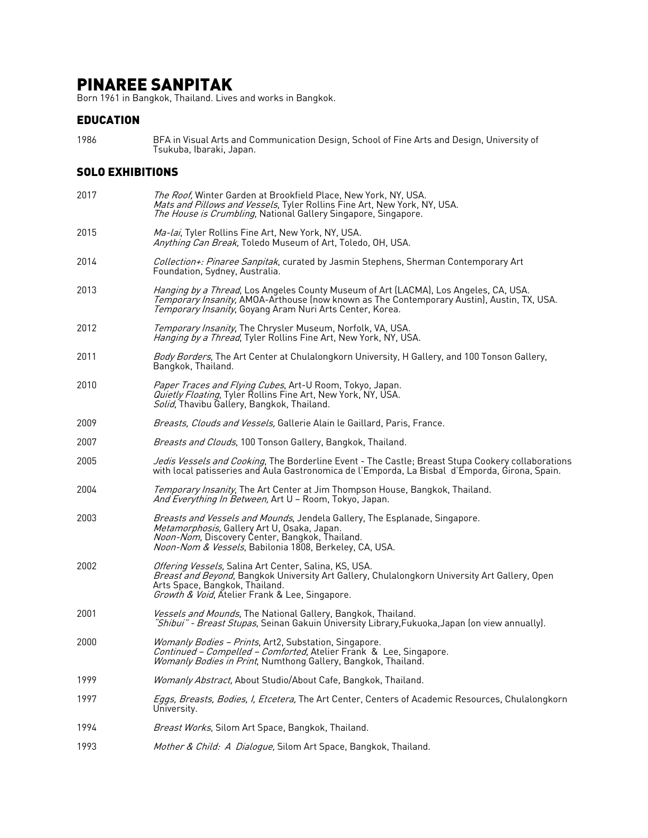# PINAREE SANPITAK

Born 1961 in Bangkok, Thailand. Lives and works in Bangkok.

# EDUCATION

1986 BFA in Visual Arts and Communication Design, School of Fine Arts and Design, University of Tsukuba, Ibaraki, Japan.

# SOLO EXHIBITIONS

| 2017 | The Roof, Winter Garden at Brookfield Place, New York, NY, USA.<br>Mats and Pillows and Vessels, Tyler Rollins Fine Art, New York, NY, USA.<br>The House is Crumbling, National Gallery Singapore, Singapore.                                          |  |  |
|------|--------------------------------------------------------------------------------------------------------------------------------------------------------------------------------------------------------------------------------------------------------|--|--|
| 2015 | Ma-lai, Tyler Rollins Fine Art, New York, NY, USA.<br>Anything Can Break, Toledo Museum of Art, Toledo, OH, USA.                                                                                                                                       |  |  |
| 2014 | Collection+: Pinaree Sanpitak, curated by Jasmin Stephens, Sherman Contemporary Art<br>Foundation, Sydney, Australia.                                                                                                                                  |  |  |
| 2013 | Hanging by a Thread, Los Angeles County Museum of Art (LACMA), Los Angeles, CA, USA.<br>Temporary Insanity, AMOA-Arthouse (now known as The Contemporary Austin), Austin, TX, USA.<br><i>Temporary Insanity</i> , Goyang Aram Nuri Arts Center, Korea. |  |  |
| 2012 | Temporary Insanity, The Chrysler Museum, Norfolk, VA, USA.<br><i>Hanging by a Thread</i> , Tyler Rollins Fine Art, New York, NY, USA.                                                                                                                  |  |  |
| 2011 | Body Borders, The Art Center at Chulalongkorn University, H Gallery, and 100 Tonson Gallery,<br>Bangkok, Thailand.                                                                                                                                     |  |  |
| 2010 | Paper Traces and Flying Cubes, Art-U Room, Tokyo, Japan.<br><i>Quietly Floating</i> , Tyler Rollins Fine Art, New York, NY, USA.<br>Solid, Thavibu Gallery, Bangkok, Thailand.                                                                         |  |  |
| 2009 | Breasts, Clouds and Vessels, Gallerie Alain le Gaillard, Paris, France.                                                                                                                                                                                |  |  |
| 2007 | Breasts and Clouds, 100 Tonson Gallery, Bangkok, Thailand.                                                                                                                                                                                             |  |  |
| 2005 | Jedis Vessels and Cooking, The Borderline Event - The Castle; Breast Stupa Cookery collaborations<br>with local patisseries and Aula Gastronomica de l'Emporda, La Bisbal d'Emporda, Girona, Spain.                                                    |  |  |
| 2004 | Temporary Insanity, The Art Center at Jim Thompson House, Bangkok, Thailand.<br>And Everything In Between, Art U - Room, Tokyo, Japan.                                                                                                                 |  |  |
| 2003 | Breasts and Vessels and Mounds, Jendela Gallery, The Esplanade, Singapore.<br>Metamorphosis, Gallery Art U, Osaka, Japan.<br>Noon-Nom, Discovery Center, Bangkok, Thailand.<br>Noon-Nom & Vessels, Babilonia 1808, Berkeley, CA, USA.                  |  |  |
| 2002 | Offering Vessels, Salina Art Center, Salina, KS, USA.<br>Breast and Beyond, Bangkok University Art Gallery, Chulalongkorn University Art Gallery, Open<br>Arts Space, Bangkok, Thailand.<br>Growth & Void, Atelier Frank & Lee, Singapore.             |  |  |
| 2001 | Vessels and Mounds, The National Gallery, Bangkok, Thailand.<br><i>"Shibui" - Breast Stupas</i> , Seinan Gakuin University Library,Fukuoka,Japan (on view annually).                                                                                   |  |  |
| 2000 | Womanly Bodies - Prints, Art2, Substation, Singapore.<br>Continued - Compelled - Comforted, Atelier Frank & Lee, Singapore.<br>Womanly Bodies in Print, Numthong Gallery, Bangkok, Thailand.                                                           |  |  |
| 1999 | Womanly Abstract, About Studio/About Cafe, Bangkok, Thailand.                                                                                                                                                                                          |  |  |
| 1997 | Eggs, Breasts, Bodies, I, Etcetera, The Art Center, Centers of Academic Resources, Chulalongkorn<br>University.                                                                                                                                        |  |  |
| 1994 | Breast Works, Silom Art Space, Bangkok, Thailand.                                                                                                                                                                                                      |  |  |
| 1993 | Mother & Child: A Dialogue, Silom Art Space, Bangkok, Thailand.                                                                                                                                                                                        |  |  |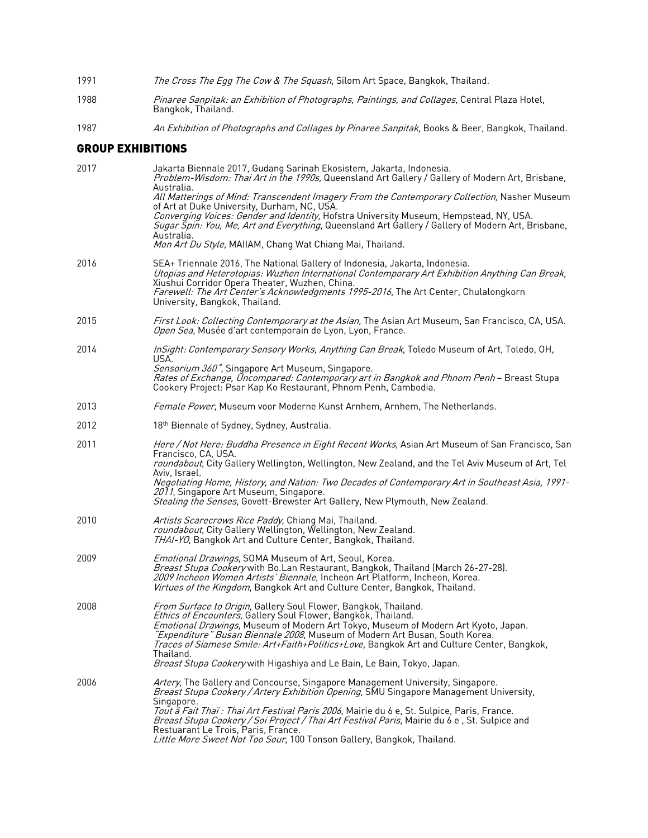| 1991 |  |  | The Cross The Egg The Cow & The Squash, Silom Art Space, Bangkok, Thailand. |
|------|--|--|-----------------------------------------------------------------------------|
|      |  |  |                                                                             |

- 1988 Pinaree Sanpitak: an Exhibition of Photographs, Paintings, and Collages, Central Plaza Hotel, Bangkok, Thailand.
- 1987 An Exhibition of Photographs and Collages by Pinaree Sanpitak, Books & Beer, Bangkok, Thailand.

## GROUP EXHIBITIONS

| 2017 | Jakarta Biennale 2017, Gudang Sarinah Ekosistem, Jakarta, Indonesia.<br>Problem-Wisdom: Thai Art in the 1990s, Queensland Art Gallery / Gallery of Modern Art, Brisbane,<br>Australia.                                                                                                                                                                                                                                                                                                                              |
|------|---------------------------------------------------------------------------------------------------------------------------------------------------------------------------------------------------------------------------------------------------------------------------------------------------------------------------------------------------------------------------------------------------------------------------------------------------------------------------------------------------------------------|
|      | All Matterings of Mind: Transcendent Imagery From the Contemporary Collection, Nasher Museum<br>of Art at Duke University, Durham, NC, USA.<br>Converging Voices: Gender and Identity, Hofstra University Museum, Hempstead, NY, USA.<br>Sugar Špin: You, Me, Art and Everything, Queensland Art Gallery / Gallery of Modern Art, Brisbane,<br>Australia.                                                                                                                                                           |
|      | Mon Art Du Style, MAIIAM, Chang Wat Chiang Mai, Thailand.                                                                                                                                                                                                                                                                                                                                                                                                                                                           |
| 2016 | SEA+ Triennale 2016, The National Gallery of Indonesia, Jakarta, Indonesia.<br>Utopias and Heterotopias: Wuzhen International Contemporary Art Exhibition Anything Can Break,<br>Xiushui Corridor Opera Theater, Wuzhen, China.<br>Farewell: The Art Center's Acknowledgments 1995-2016, The Art Center, Chulalongkorn<br>University, Bangkok, Thailand.                                                                                                                                                            |
| 2015 | First Look: Collecting Contemporary at the Asian, The Asian Art Museum, San Francisco, CA, USA.<br>Open Sea, Musée d'art contemporain de Lyon, Lyon, France.                                                                                                                                                                                                                                                                                                                                                        |
| 2014 | InSight: Contemporary Sensory Works, Anything Can Break, Toledo Museum of Art, Toledo, OH,<br>USA.                                                                                                                                                                                                                                                                                                                                                                                                                  |
|      | Sensorium 360°, Singapore Art Museum, Singapore.<br>Rates of Exchange, Uncompared: Contemporary art in Bangkok and Phnom Penh - Breast Stupa<br>Cookery Project: Psar Kap Ko Restaurant, Phnom Penh, Cambodia.                                                                                                                                                                                                                                                                                                      |
| 2013 | Female Power, Museum voor Moderne Kunst Arnhem, Arnhem, The Netherlands.                                                                                                                                                                                                                                                                                                                                                                                                                                            |
| 2012 | 18th Biennale of Sydney, Sydney, Australia.                                                                                                                                                                                                                                                                                                                                                                                                                                                                         |
| 2011 | Here / Not Here: Buddha Presence in Eight Recent Works, Asian Art Museum of San Francisco, San<br>Francisco, CA, USA.<br>roundabout, City Gallery Wellington, Wellington, New Zealand, and the Tel Aviv Museum of Art, Tel<br>Aviv, Israel.<br>Negotiating Home, History, and Nation: Two Decades of Contemporary Art in Southeast Asia, 1991-<br>2011, Singapore Art Museum, Singapore.                                                                                                                            |
|      | Stealing the Senses, Govett-Brewster Art Gallery, New Plymouth, New Zealand.                                                                                                                                                                                                                                                                                                                                                                                                                                        |
| 2010 | Artists Scarecrows Rice Paddy, Chiang Mai, Thailand.<br>roundabout, City Gallery Wellington, Wellington, New Zealand.<br>THAI-YO, Bangkok Art and Culture Center, Bangkok, Thailand.                                                                                                                                                                                                                                                                                                                                |
| 2009 | Emotional Drawings, SOMA Museum of Art, Seoul, Korea.<br>Breast Stupa Cookery with Bo.Lan Restaurant, Bangkok, Thailand (March 26-27-28).<br>2009 Incheon Women Artists' Biennale, Incheon Art Platform, Incheon, Korea.<br>Virtues of the Kingdom, Bangkok Art and Culture Center, Bangkok, Thailand.                                                                                                                                                                                                              |
| 2008 | From Surface to Origin, Gallery Soul Flower, Bangkok, Thailand.<br><i>Ethics of Encounters</i> , Gallery Soul Flower, Bangkok, Thailand.<br><i>Emotional Drawings</i> , Museum of Modern Art Tokyo, Museum of Modern Art Kyoto, Japan.<br><i>"Expenditure" Busan Biennale 2008</i> , Museum of Modern Art Busan, South Korea.<br>Traces of Siamese Smile: Art+Faith+Politics+Love, Bangkok Art and Culture Center, Bangkok,<br>Thailand.<br>Breast Stupa Cookery with Higashiya and Le Bain, Le Bain, Tokyo, Japan. |
| 2006 | Artery, The Gallery and Concourse, Singapore Management University, Singapore.<br>Breast Stupa Cookery / Artery Exhibition Opening, SMU Singapore Management University,<br>Singapore.<br><i>Tout â Fait Thaï : Thai Art Festival Paris 2006</i> , Mairie du 6 e, St. Sulpice, Paris, France.<br>Breast Stupa Cookery / Soi Project / Thai Art Festival Paris, Mairie du 6 e, St. Sulpice and<br>Restuarant Le Trois, Paris, France.<br>Little More Sweet Not Too Sour, 100 Tonson Gallery, Bangkok, Thailand.      |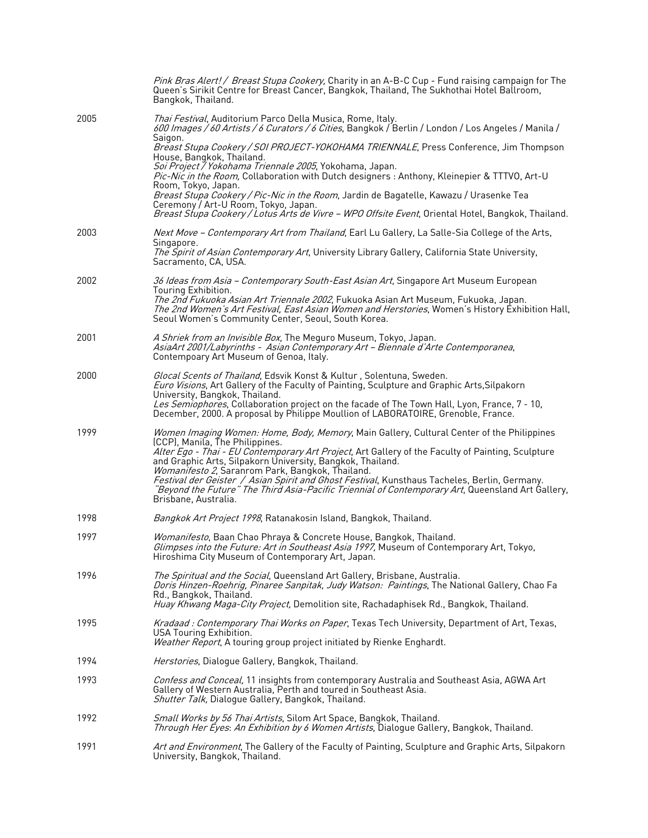|      | Pink Bras Alert! / Breast Stupa Cookery, Charity in an A-B-C Cup - Fund raising campaign for The<br>Queen's Sirikit Centre for Breast Cancer, Bangkok, Thailand, The Sukhothai Hotel Ballroom,<br>Bangkok, Thailand.                                                                                                                                                                                                                                                                                                                                                                     |
|------|------------------------------------------------------------------------------------------------------------------------------------------------------------------------------------------------------------------------------------------------------------------------------------------------------------------------------------------------------------------------------------------------------------------------------------------------------------------------------------------------------------------------------------------------------------------------------------------|
| 2005 | Thai Festival, Auditorium Parco Della Musica, Rome, Italy.<br>600 Images / 60 Artists / 6 Curators / 6 Cities, Bangkok / Berlin / London / Los Angeles / Manila /                                                                                                                                                                                                                                                                                                                                                                                                                        |
|      | Saigon.<br>Breast Stupa Cookery / SOI PROJECT-YOKOHAMA TRIENNALE, Press Conference, Jim Thompson<br>House, Bangkok, Thailand.<br>Soi Project / Yokohama Triennale 2005, Yokohama, Japan.<br>Pic-Nic in the Room, Collaboration with Dutch designers : Anthony, Kleinepier & TTTVO, Art-U<br>Room, Tokyo, Japan.<br>Breast Stupa Cookery / Pic-Nic in the Room, Jardin de Bagatelle, Kawazu / Urasenke Tea<br>Ceremony / Art-U Room, Tokyo, Japan.                                                                                                                                        |
|      | Breast Stupa Cookery / Lotus Arts de Vivre - WPO Offsite Event, Oriental Hotel, Bangkok, Thailand.                                                                                                                                                                                                                                                                                                                                                                                                                                                                                       |
| 2003 | Next Move - Contemporary Art from Thailand, Earl Lu Gallery, La Salle-Sia College of the Arts,<br>Singapore.<br>The Spirit of Asian Contemporary Art, University Library Gallery, California State University,<br>Sacramento, CA, USA.                                                                                                                                                                                                                                                                                                                                                   |
| 2002 | 36 Ideas from Asia - Contemporary South-East Asian Art, Singapore Art Museum European<br>Touring Exhibition.<br>The 2nd Fukuoka Asian Art Triennale 2002, Fukuoka Asian Art Museum, Fukuoka, Japan.<br>The 2nd Women's Art Festival, East Asian Women and Herstories, Women's History Exhibition Hall,<br>Seoul Women's Community Center, Seoul, South Korea.                                                                                                                                                                                                                            |
| 2001 | A Shriek from an Invisible Box, The Meguro Museum, Tokyo, Japan.<br>AsiaArt 2001/Labyrinths - Asian Contemporary Art - Biennale d'Arte Contemporanea.<br>Contempoary Art Museum of Genoa, Italy.                                                                                                                                                                                                                                                                                                                                                                                         |
| 2000 | Glocal Scents of Thailand, Edsvik Konst & Kultur, Solentuna, Sweden.<br>Euro Visions, Art Gallery of the Faculty of Painting, Sculpture and Graphic Arts, Silpakorn<br>University, Bangkok, Thailand.<br>Les Semiophores, Collaboration project on the facade of The Town Hall, Lyon, France, 7 - 10,<br>December, 2000. A proposal by Philippe Moullion of LABORATOIRE, Grenoble, France.                                                                                                                                                                                               |
| 1999 | Women Imaging Women: Home, Body, Memory, Main Gallery, Cultural Center of the Philippines<br>(CCP), Manila, The Philippines.<br>Alter Ego - Thai - EU Contemporary Art Project, Art Gallery of the Faculty of Painting, Sculpture<br>and Graphic Arts, Silpakorn University, Bangkok, Thailand.<br>Womanifesto 2, Saranrom Park, Bangkok, Thailand.<br>Festival der Geister / Asian Spirit and Ghost Festival, Kunsthaus Tacheles, Berlin, Germany.<br><i>"Beyond the Future" The Third Asia-Pacific Triennial of Contemporary Art</i> , Queensland Art Gallery,<br>Brisbane, Australia. |
| 1998 | Bangkok Art Project 1998, Ratanakosin Island, Bangkok, Thailand.                                                                                                                                                                                                                                                                                                                                                                                                                                                                                                                         |
| 1997 | Womanifesto, Baan Chao Phraya & Concrete House, Bangkok, Thailand.<br>Glimpses into the Future: Art in Southeast Asia 1997, Museum of Contemporary Art, Tokyo,<br>Hiroshima City Museum of Contemporary Art, Japan.                                                                                                                                                                                                                                                                                                                                                                      |
| 1996 | <i>The Spiritual and the Social</i> , Queensland Art Gallery, Brisbane, Australia.<br>Doris Hinzen-Roehrig, Pinaree Sanpitak, Judy Watson: Paintings, The National Gallery, Chao Fa<br>Rd., Bangkok, Thailand.<br><i>Huay Khwang Maga-City Project</i> , Demolition site, Rachadaphisek Rd., Bangkok, Thailand.                                                                                                                                                                                                                                                                          |
| 1995 | Kradaad : Contemporary Thai Works on Paper, Texas Tech University, Department of Art, Texas,<br>USA Touring Exhibition.<br><i>Weather Report</i> , A touring group project initiated by Rienke Enghardt.                                                                                                                                                                                                                                                                                                                                                                                 |
| 1994 | Herstories, Dialogue Gallery, Bangkok, Thailand.                                                                                                                                                                                                                                                                                                                                                                                                                                                                                                                                         |
| 1993 | <i>Confess and Conceal,</i> 11 insights from contemporary Australia and Southeast Asia, AGWA Art<br>Gallery of Western Australia, Perth and toured in Southeast Asia.<br><i>Shutter Talk,</i> Dialogue Gallery, Bangkok, Thailand.                                                                                                                                                                                                                                                                                                                                                       |
| 1992 | Small Works by 56 Thai Artists, Silom Art Space, Bangkok, Thailand.<br>Through Her Eyes: An Exhibition by 6 Women Artists, Dialogue Gallery, Bangkok, Thailand.                                                                                                                                                                                                                                                                                                                                                                                                                          |
| 1991 | Art and Environment, The Gallery of the Faculty of Painting, Sculpture and Graphic Arts, Silpakorn<br>University, Bangkok, Thailand.                                                                                                                                                                                                                                                                                                                                                                                                                                                     |